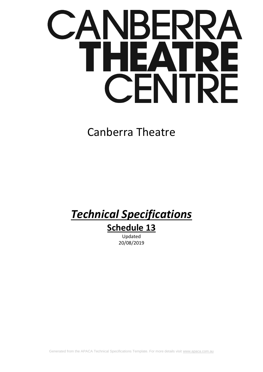# $\overline{\phantom{a}}$ EД I E F F  $\blacksquare$

# Canberra Theatre

# *Technical Specifications*

# **Schedule 13**

Updated 20/08/2019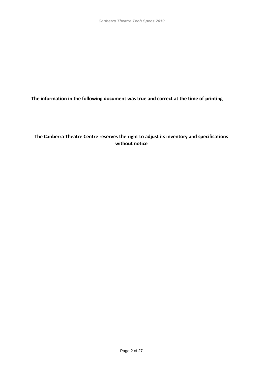**The information in the following document was true and correct at the time of printing**

### **The Canberra Theatre Centre reserves the right to adjust its inventory and specifications without notice**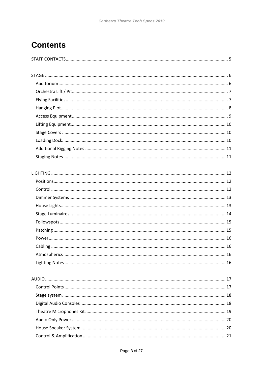## **Contents**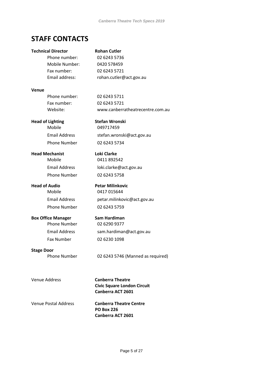## <span id="page-4-0"></span>**STAFF CONTACTS**

## **Technical Director Rohan Cutler** Phone number: 02 6243 5736 Mobile Number: 0420 578459 Fax number: 02 6243 5721 Email address: rohan.cutler@act.gov.au **Venue** Phone number: 02 6243 5711 Fax number: 02 6243 5721 Website: www.canberratheatrecentre.com.au **Head of Lighting Stefan Wronski**  Mobile 049717459 Email Address stefan.wronski@act.gov.au Phone Number 02 6243 5734 **Head Mechanist Loki Clarke**  Mobile 0411 892542 Email Address loki.clarke@act.gov.au Phone Number 02 6243 5758 **Head of Audio Petar Milinkovic** Mobile 0417 015644 Email Address petar.milinkovic@act.gov.au Phone Number 02 6243 5759 **Box Office Manager Sam Hardiman** Phone Number 02 6290 9377 Email Address sam.hardiman@act.gov.au Fax Number 02 6230 1098 **Stage Door** Phone Number 02 6243 5746 (Manned as required) Venue Address **Canberra Theatre Civic Square London Circuit Canberra ACT 2601** Venue Postal Address **Canberra Theatre Centre PO Box 226**

**Canberra ACT 2601**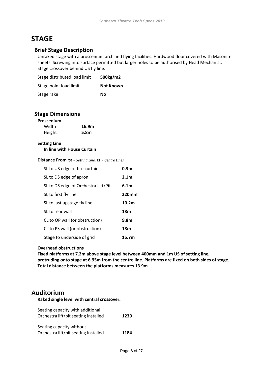## <span id="page-5-0"></span>**STAGE**

#### **Brief Stage Description**

Unraked stage with a proscenium arch and flying facilities. Hardwood floor covered with Masonite sheets. Screwing into surface permitted but larger holes to be authorised by Head Mechanist. Stage crossover behind US fly line.

| Stage distributed load limit | 500kg/m2         |
|------------------------------|------------------|
| Stage point load limit       | <b>Not Known</b> |
| Stage rake                   | Nο               |

#### **Stage Dimensions**

| Proscenium |       |
|------------|-------|
| Width      | 16.9m |
| Height     | 5.8m  |

#### **Setting Line In line with House Curtain**

#### **Distance From** *(SL = Setting Line, CL = Centre Line)*

| SL to US edge of fire curtain       | 0.3 <sub>m</sub>  |
|-------------------------------------|-------------------|
| SL to DS edge of apron              | 2.1 <sub>m</sub>  |
| SL to DS edge of Orchestra Lift/Pit | 6.1 <sub>m</sub>  |
| SL to first fly line                | <b>220mm</b>      |
| SL to last upstage fly line         | 10.2 <sub>m</sub> |
| SL to rear wall                     | 18m               |
| CL to OP wall (or obstruction)      | 9.8 <sub>m</sub>  |
| CL to PS wall (or obstruction)      | 18m               |
| Stage to underside of grid          | 15.7m             |

#### **Overhead obstructions**

**Fixed platforms at 7.2m above stage level between 400mm and 1m US of setting line, protruding onto stage at 6.95m from the centre line. Platforms are fixed on both sides of stage. Total distance between the platforms measures 13.9m**

#### <span id="page-5-1"></span>**Auditorium**

**Raked single level with central crossover.**

| Seating capacity with additional<br>Orchestra lift/pit seating installed | 1239 |
|--------------------------------------------------------------------------|------|
| Seating capacity without                                                 |      |
| Orchestra lift/pit seating installed                                     | 1184 |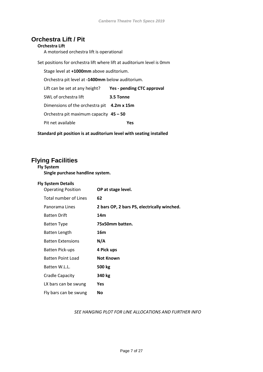## <span id="page-6-0"></span>**Orchestra Lift / Pit**

#### **Orchestra Lift**

A motorised orchestra lift is operational

Set positions for orchestra lift where lift at auditorium level is 0mm

Stage level at **+1000mm** above auditorium. Orchestra pit level at **-1400mm** below auditorium. Lift can be set at any height? **Yes - pending CTC approval** SWL of orchestra lift **3.5 Tonne** Dimensions of the orchestra pit **4.2m x 15m** Orchestra pit maximum capacity **45 – 50** Pit net available **Yes**

**Standard pit position is at auditorium level with seating installed**

## <span id="page-6-1"></span>**Flying Facilities**

**Fly System**

| Single purchase handline system.                       |                                             |  |  |  |
|--------------------------------------------------------|---------------------------------------------|--|--|--|
| <b>Fly System Details</b><br><b>Operating Position</b> | OP at stage level.                          |  |  |  |
| <b>Total number of Lines</b>                           | 62                                          |  |  |  |
| Panorama Lines                                         | 2 bars OP, 2 bars PS, electrically winched. |  |  |  |
| <b>Batten Drift</b>                                    | 14m                                         |  |  |  |
| <b>Batten Type</b>                                     | 75x50mm batten.                             |  |  |  |
| Batten Length                                          | 16m                                         |  |  |  |
| <b>Batten Extensions</b>                               | N/A                                         |  |  |  |
| <b>Batten Pick-ups</b>                                 | 4 Pick ups                                  |  |  |  |
| Batten Point Load                                      | Not Known                                   |  |  |  |
| Batten W.L.L.                                          | 500 kg                                      |  |  |  |
| Cradle Capacity                                        | 340 kg                                      |  |  |  |
| LX bars can be swung                                   | Yes                                         |  |  |  |
| Fly bars can be swung                                  | No                                          |  |  |  |

#### *SEE HANGING PLOT FOR LINE ALLOCATIONS AND FURTHER INFO*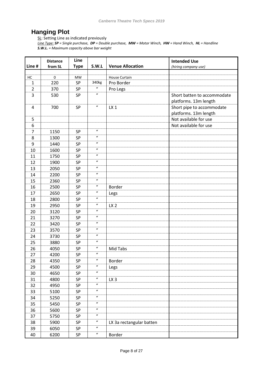## <span id="page-7-0"></span>**Hanging Plot**

SL: Setting Line as indicated previously

*Line Type: SP = Single purchase, DP = Double purchase, MW = Motor Winch, HW = Hand Winch, HL = Handline S.W.L. = Maximum capacity above bar weight*

|         | <b>Distance</b> | Line            |                            |                             | <b>Intended Use</b>                                  |
|---------|-----------------|-----------------|----------------------------|-----------------------------|------------------------------------------------------|
| Line #  | from SL         | <b>Type</b>     | S.W.L                      | <b>Venue Allocation</b>     | (hiring company use)                                 |
|         | $\mathbf 0$     |                 |                            |                             |                                                      |
| HC<br>1 | 220             | <b>MW</b><br>SP | 340kg                      | House Curtain<br>Pro Border |                                                      |
| 2       | 370             | SP              | $\boldsymbol{u}$           |                             |                                                      |
| 3       | 530             |                 | $\boldsymbol{u}$           | Pro Legs                    |                                                      |
|         |                 | <b>SP</b>       |                            |                             | Short batten to accommodate<br>platforms. 13m length |
| 4       | 700             | SP              | $\boldsymbol{\mathcal{U}}$ | LX <sub>1</sub>             | Short pipe to accommodate<br>platforms. 13m length   |
| 5       |                 |                 |                            |                             | Not available for use                                |
| 6       |                 |                 |                            |                             | Not available for use                                |
| 7       | 1150            | SP              | $\boldsymbol{u}$           |                             |                                                      |
| 8       | 1300            | <b>SP</b>       | $\boldsymbol{\mathcal{U}}$ |                             |                                                      |
| 9       | 1440            | SP              | $\boldsymbol{u}$           |                             |                                                      |
| 10      | 1600            | SP              | $\boldsymbol{\mathcal{U}}$ |                             |                                                      |
| 11      | 1750            | <b>SP</b>       | $\boldsymbol{u}$           |                             |                                                      |
| 12      | 1900            | SP              | $\boldsymbol{u}$           |                             |                                                      |
| 13      | 2050            | SP              | $\boldsymbol{u}$           |                             |                                                      |
| 14      | 2200            | <b>SP</b>       | $\boldsymbol{\mathcal{U}}$ |                             |                                                      |
| 15      | 2360            | SP              | $\boldsymbol{u}$           |                             |                                                      |
| 16      | 2500            | SP              | $\boldsymbol{\mathcal{U}}$ | Border                      |                                                      |
| 17      | 2650            | <b>SP</b>       | $\boldsymbol{\mathcal{U}}$ | Legs                        |                                                      |
| 18      | 2800            | SP              | $\boldsymbol{u}$           |                             |                                                      |
| 19      | 2950            | SP              | $\boldsymbol{\mathcal{U}}$ | LX <sub>2</sub>             |                                                      |
| 20      | 3120            | SP              | $\boldsymbol{u}$           |                             |                                                      |
| 21      | 3270            | SP              | $\boldsymbol{u}$           |                             |                                                      |
| 22      | 3420            | SP              | $\boldsymbol{u}$           |                             |                                                      |
| 23      | 3570            | SP              | $\boldsymbol{u}$           |                             |                                                      |
| 24      | 3730            | SP              | $\boldsymbol{u}$           |                             |                                                      |
| 25      | 3880            | SP              | $\boldsymbol{u}$           |                             |                                                      |
| 26      | 4050            | SP              | $\boldsymbol{\mathcal{U}}$ | Mid Tabs                    |                                                      |
| 27      | 4200            | <b>SP</b>       | $\boldsymbol{u}$           |                             |                                                      |
| 28      | 4350            | SP              | $\boldsymbol{u}$           | Border                      |                                                      |
| 29      | 4500            | SP              | $\boldsymbol{u}$           | Legs                        |                                                      |
| 30      | 4650            | SP              | $\boldsymbol{u}$           |                             |                                                      |
| 31      | 4800            | SP              | $\boldsymbol{u}$           | LX <sub>3</sub>             |                                                      |
| 32      | 4950            | SP              | $\boldsymbol{u}$           |                             |                                                      |
| 33      | 5100            | SP              | $\boldsymbol{u}$           |                             |                                                      |
| 34      | 5250            | SP              | $\boldsymbol{u}$           |                             |                                                      |
| 35      | 5450            | SP              | $\boldsymbol{u}$           |                             |                                                      |
| 36      | 5600            | SP              | $\boldsymbol{u}$           |                             |                                                      |
| 37      | 5750            | SP              | $\boldsymbol{\mathcal{U}}$ |                             |                                                      |
| 38      | 5900            | SP              | $\boldsymbol{u}$           | LX 3a rectangular batten    |                                                      |
| 39      | 6050            | SP              | $\boldsymbol{u}$           |                             |                                                      |
| 40      | 6200            | ${\sf SP}$      | $\boldsymbol{u}$           | Border                      |                                                      |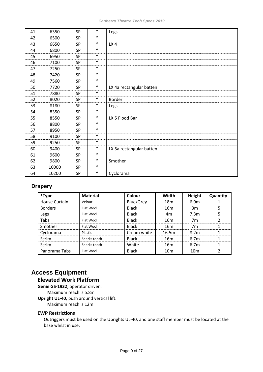| 41 | 6350  | SP        | $\boldsymbol{u}$ | Legs                     |  |
|----|-------|-----------|------------------|--------------------------|--|
| 42 | 6500  | SP        | $\boldsymbol{u}$ |                          |  |
| 43 | 6650  | <b>SP</b> | $\boldsymbol{u}$ | LX4                      |  |
| 44 | 6800  | SP        | $\boldsymbol{u}$ |                          |  |
| 45 | 6950  | <b>SP</b> | $\boldsymbol{u}$ |                          |  |
| 46 | 7100  | SP        | $\boldsymbol{u}$ |                          |  |
| 47 | 7250  | <b>SP</b> | $\boldsymbol{u}$ |                          |  |
| 48 | 7420  | SP        | $\boldsymbol{u}$ |                          |  |
| 49 | 7560  | SP        | $\boldsymbol{u}$ |                          |  |
| 50 | 7720  | <b>SP</b> | $\boldsymbol{u}$ | LX 4a rectangular batten |  |
| 51 | 7880  | SP        | $\boldsymbol{u}$ |                          |  |
| 52 | 8020  | <b>SP</b> | $\boldsymbol{u}$ | Border                   |  |
| 53 | 8180  | SP        | $\boldsymbol{u}$ | Legs                     |  |
| 54 | 8350  | <b>SP</b> | $\boldsymbol{u}$ |                          |  |
| 55 | 8550  | SP        | $\boldsymbol{u}$ | LX 5 Flood Bar           |  |
| 56 | 8800  | <b>SP</b> | $\boldsymbol{u}$ |                          |  |
| 57 | 8950  | SP        | $\boldsymbol{u}$ |                          |  |
| 58 | 9100  | SP        | $\boldsymbol{u}$ |                          |  |
| 59 | 9250  | <b>SP</b> | $\boldsymbol{u}$ |                          |  |
| 60 | 9400  | SP        | $\boldsymbol{u}$ | LX 5a rectangular batten |  |
| 61 | 9600  | <b>SP</b> | $\boldsymbol{u}$ |                          |  |
| 62 | 9800  | SP        | $\boldsymbol{u}$ | Smother                  |  |
| 63 | 10000 | SP        | $\boldsymbol{u}$ |                          |  |
| 64 | 10200 | SP        | $\boldsymbol{u}$ | Cyclorama                |  |

#### **Drapery**

| *Type                | <b>Material</b> | Colour       | Width           | Height           | Quantity |
|----------------------|-----------------|--------------|-----------------|------------------|----------|
| <b>House Curtain</b> | Velour          | Blue/Grey    | 18m             | 6.9m             |          |
| <b>Borders</b>       | Flat Wool       | <b>Black</b> | 16m             | 3m               | .5       |
| Legs                 | Flat Wool       | <b>Black</b> | 4m              | 7.3m             | 5        |
| Tabs                 | Flat Wool       | <b>Black</b> | 16m             | 7m               | າ        |
| Smother              | Flat Wool       | <b>Black</b> | 16m             | 7m               |          |
| Cyclorama            | Plastic         | Cream white  | 16.5m           | 8.2 <sub>m</sub> |          |
| Scrim                | Sharks tooth    | <b>Black</b> | 16m             | 6.7 <sub>m</sub> |          |
| Scrim                | Sharks tooth    | White        | 16m             | 6.7 <sub>m</sub> |          |
| Panorama Tabs        | Flat Wool       | <b>Black</b> | 10 <sub>m</sub> | 10 <sub>m</sub>  |          |

## <span id="page-8-0"></span>**Access Equipment**

## **Elevated Work Platform**

**Genie GS-1932**, operator driven. Maximum reach is 5.8m **Upright UL-40**, push around vertical lift. Maximum reach is 12m

#### **EWP Restrictions**

Outriggers must be used on the Uprights UL-40, and one staff member must be located at the base whilst in use.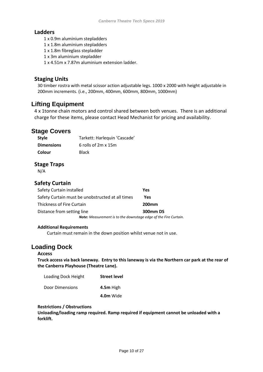#### **Ladders**

- 1 x 0.9m aluminium stepladders
- 1 x 1.8m aluminium stepladders
- 1 x 1.8m fibreglass stepladder
- 1 x 3m aluminium stepladder

1 x 4.51m x 7.87m aluminium extension ladder.

#### **Staging Units**

30 timber rostra with metal scissor action adjustable legs. 1000 x 2000 with height adjustable in 200mm increments. (i.e., 200mm, 400mm, 600mm, 800mm, 1000mm)

## <span id="page-9-0"></span>**Lifting Equipment**

4 x 1tonne chain motors and control shared between both venues. There is an additional charge for these items, please contact Head Mechanist for pricing and availability.

## <span id="page-9-1"></span>**Stage Covers**

| Style             | Tarkett: Harlequin 'Cascade' |
|-------------------|------------------------------|
| <b>Dimensions</b> | 6 rolls of $2m \times 15m$   |
| Colour            | <b>Black</b>                 |

#### **Stage Traps**

N/A

## **Safety Curtain**

| Safety Curtain installed                                               | Yes          |
|------------------------------------------------------------------------|--------------|
| Safety Curtain must be unobstructed at all times                       | Yes          |
| <b>Thickness of Fire Curtain</b>                                       | <b>200mm</b> |
| Distance from setting line                                             | 300mm DS     |
| <b>Note:</b> Measurement is to the downstage edge of the Fire Curtain. |              |

#### **Additional Requirements**

Curtain must remain in the down position whilst venue not in use.

## <span id="page-9-2"></span>**Loading Dock**

#### **Access**

**Truck access via back laneway. Entry to this laneway is via the Northern car park at the rear of the Canberra Playhouse (Theatre Lane).** 

| Loading Dock Height | <b>Street level</b> |
|---------------------|---------------------|
| Door Dimensions     | 4.5m High           |
|                     | 4.0m Wide           |

#### **Restrictions / Obstructions**

**Unloading/loading ramp required. Ramp required if equipment cannot be unloaded with a forklift.**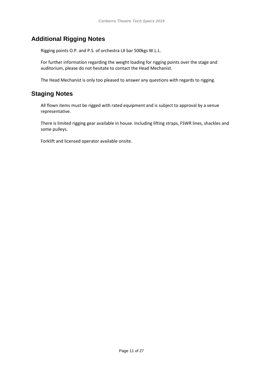## <span id="page-10-0"></span>**Additional Rigging Notes**

Rigging points O.P. and P.S. of orchestra LX bar 500kgs W.L.L.

For further information regarding the weight loading for rigging points over the stage and auditorium, please do not hesitate to contact the Head Mechanist.

The Head Mechanist is only too pleased to answer any questions with regards to rigging.

## <span id="page-10-1"></span>**Staging Notes**

All flown items must be rigged with rated equipment and is subject to approval by a venue representative.

There is limited rigging gear available in house. Including lifting straps, FSWR lines, shackles and some pulleys.

Forklift and licensed operator available onsite.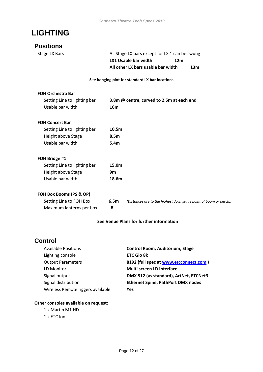## <span id="page-11-0"></span>**LIGHTING**

## <span id="page-11-1"></span>**Positions**

Stage LX Bars **All Stage LX bars except for LX 1 can be swung LX1 Usable bar width 12m All other LX bars usable bar width 13m**

#### **See hanging plot for standard LX bar locations**

#### **FOH Orchestra Bar**

| Setting Line to lighting bar | 3.8m @ centre, curved to 2.5m at each end |
|------------------------------|-------------------------------------------|
| Usable bar width             | 16m                                       |

#### **FOH Concert Bar**

| Setting Line to lighting bar | 10.5 <sub>m</sub> |
|------------------------------|-------------------|
| Height above Stage           | 8.5m              |
| Usable bar width             | 5.4m              |

#### **FOH Bridge #1**

| Setting Line to lighting bar | 15.0m |
|------------------------------|-------|
| Height above Stage           | 9m    |
| Usable bar width             | 18.6m |

#### **FOH Box Booms (PS & OP)**

| Setting Line to FOH Box  | 6.5 |
|--------------------------|-----|
| Maximum lanterns per box | 8   |

6.5m *(Distances are to the highest downstage point of boom or perch.)* 

#### **See Venue Plans for further information**

## <span id="page-11-2"></span>**Control**

| <b>Available Positions</b>        | Control Room, Auditorium, Stage           |
|-----------------------------------|-------------------------------------------|
| Lighting console                  | <b>ETC Gio 8k</b>                         |
| <b>Output Parameters</b>          | 8192 (full spec at www.etcconnect.com)    |
| LD Monitor                        | <b>Multi screen LD interface</b>          |
| Signal output                     | DMX 512 (as standard), ArtNet, ETCNet3    |
| Signal distribution               | <b>Ethernet Spine, PathPort DMX nodes</b> |
| Wireless Remote riggers available | Yes                                       |

#### **Other consoles available on request:**

1 x Martin M1 HD 1 x ETC Ion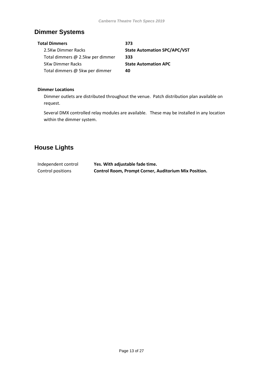## <span id="page-12-0"></span>**Dimmer Systems**

| Total Dimmers                    | 373                                 |
|----------------------------------|-------------------------------------|
| 2.5Kw Dimmer Racks               | <b>State Automation SPC/APC/VST</b> |
| Total dimmers @ 2.5kw per dimmer | 333                                 |
| <b>5Kw Dimmer Racks</b>          | <b>State Automation APC</b>         |
| Total dimmers @ 5kw per dimmer   | 40                                  |

#### **Dimmer Locations**

Dimmer outlets are distributed throughout the venue. Patch distribution plan available on request.

Several DMX controlled relay modules are available. These may be installed in any location within the dimmer system.

## <span id="page-12-1"></span>**House Lights**

| Independent control | Yes. With adjustable fade time.                              |
|---------------------|--------------------------------------------------------------|
| Control positions   | <b>Control Room, Prompt Corner, Auditorium Mix Position.</b> |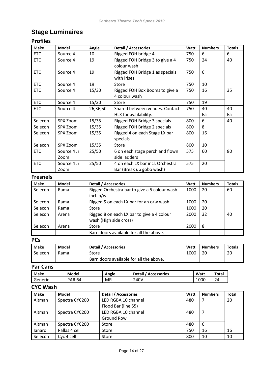## <span id="page-13-0"></span>**Stage Luminaires**

## **Profiles**

| <b>Make</b> | Model       | Angle    | <b>Detail / Accessories</b>      | Watt | <b>Numbers</b> | <b>Totals</b> |
|-------------|-------------|----------|----------------------------------|------|----------------|---------------|
| <b>ETC</b>  | Source 4    | 10       | Rigged FOH bridge 4              | 750  | 6              | 6             |
| <b>ETC</b>  | Source 4    | 19       | Rigged FOH Bridge 3 to give a 4  | 750  | 24             | 40            |
|             |             |          | colour wash                      |      |                |               |
| <b>ETC</b>  | Source 4    | 19       | Rigged FOH Bridge 1 as specials  | 750  | 6              |               |
|             |             |          | with irises                      |      |                |               |
| <b>ETC</b>  | Source 4    | 19       | Store                            | 750  | 10             |               |
| <b>ETC</b>  | Source 4    | 15/30    | Rigged FOH Box Booms to give a   | 750  | 16             | 35            |
|             |             |          | 4 colour wash                    |      |                |               |
| <b>ETC</b>  | Source 4    | 15/30    | Store                            | 750  | 19             |               |
| <b>ETC</b>  | Source 4    | 26,36,50 | Shared between venues. Contact   | 750  | 40             | 40            |
|             |             |          | HLX for availability.            |      | Ea             | Ea            |
| Selecon     | SPX Zoom    | 15/35    | Rigged FOH Bridge 3 specials     | 800  | 6              | 40            |
| Selecon     | SPX Zoom    | 15/35    | Rigged FOH Bridge 2 specials     | 800  | 8              |               |
| Selecon     | SPX Zoom    | 15/35    | Rigged 4 on each Stage LX bar    | 800  | 16             |               |
|             |             |          | specials                         |      |                |               |
| Selecon     | SPX Zoom    | 15/35    | <b>Store</b>                     | 800  | 10             |               |
| <b>ETC</b>  | Source 4 Jr | 25/50    | 6 on each stage perch and flown  | 575  | 60             | 80            |
|             | Zoom        |          | side ladders                     |      |                |               |
| <b>ETC</b>  | Source 4 Jr | 25/50    | 4 on each LX bar incl. Orchestra | 575  | 20             |               |
|             | Zoom        |          | Bar (Break up gobo wash)         |      |                |               |

### **Fresnels**

| <b>Make</b> | Model | <b>Detail / Accessories</b>                  | Watt | <b>Numbers</b> | <b>Totals</b> |
|-------------|-------|----------------------------------------------|------|----------------|---------------|
| Selecon     | Rama  | Rigged Orchestra bar to give a 5 colour wash | 1000 | 20             | 60            |
|             |       | incl. $o/w$                                  |      |                |               |
| Selecon     | Rama  | Rigged 5 on each LX bar for an o/w wash      | 1000 | 20             |               |
| Selecon     | Rama  | Store                                        | 1000 | 20             |               |
| Selecon     | Arena | Rigged 8 on each LX bar to give a 4 colour   | 2000 | 32             | 40            |
|             |       | wash (High side cross)                       |      |                |               |
| Selecon     | Arena | Store                                        | 2000 | 8              |               |
|             |       | Barn doors available for all the above.      |      |                |               |

## **PCs**

| <b>Make</b> | Model | Detail / Accessories                    | Watt | <b>Numbers</b> | <b>Totals</b> |
|-------------|-------|-----------------------------------------|------|----------------|---------------|
| Selecon     | Rama  | Store                                   | 1000 | 20             | 20            |
|             |       | Barn doors available for all the above. |      |                |               |

## **Par Cans**

| <b>Make</b> | Model         | Angle | <b>Detail</b><br><b>Accessories</b> | Watt | Total |
|-------------|---------------|-------|-------------------------------------|------|-------|
| Generic     | <b>PAR 64</b> | MFL   | 240V                                | 1000 | 24    |

## **CYC Wash**

| <b>Make</b> | Model          | <b>Detail / Accessories</b> | Watt | <b>Numbers</b> | <b>Total</b> |
|-------------|----------------|-----------------------------|------|----------------|--------------|
| Altman      | Spectra CYC200 | LED RGBA 10 channel         | 480  | 7              | 20           |
|             |                | Flood Bar (line 55)         |      |                |              |
| Altman      | Spectra CYC200 | LED RGBA 10 channel         | 480  |                |              |
|             |                | Ground Row                  |      |                |              |
| Altman      | Spectra CYC200 | Store                       | 480  | 6              |              |
| lanaro      | Pallas 4 cell  | Store                       | 750  | 16             | 16           |
| Selecon     | Cyc 4 cell     | Store                       | 800  | 10             | 10           |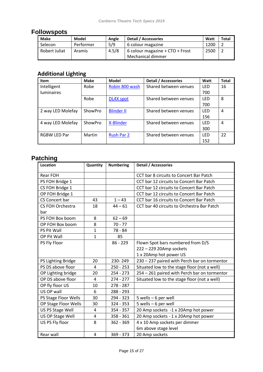## <span id="page-14-0"></span>**Followspots**

| <b>Make</b>   | Model     | Angle | Detail / Accessories              | Watt | <b>Total</b> |
|---------------|-----------|-------|-----------------------------------|------|--------------|
| Selecon       | Performer | 5/9   | 6 colour magazine                 | 1200 |              |
| Robert Juliat | Aramis    | 4.5/8 | 6 colour magazine + $CTO +$ Frost | 2500 |              |
|               |           |       | Mechanical dimmer                 |      |              |

## **Additional Lighting**

| <b>Item</b>         | <b>Make</b> | Model             | <b>Detail / Accessories</b> | Watt       | <b>Total</b> |
|---------------------|-------------|-------------------|-----------------------------|------------|--------------|
| Intelligent         | Robe        | Robin 800 wash    | Shared between venues       | LED        | 16           |
| luminaires          |             |                   |                             | 700        |              |
|                     | Robe        | DL4X spot         | Shared between venues       | LED        | 8            |
|                     |             |                   |                             | 700        |              |
| 2 way LED Molefay   | ShowPro     | <b>Blinder II</b> | Shared between venues       | <b>LED</b> | 4            |
|                     |             |                   |                             | 156        |              |
| 4 way LED Molefay   | ShowPro     | X-Blinder         | Shared between venues       | <b>LED</b> | 4            |
|                     |             |                   |                             | 300        |              |
| <b>RGBW LED Par</b> | Martin      | <b>Rush Par 2</b> | Shared between venues       | <b>LED</b> | 22           |
|                     |             |                   |                             | 152        |              |

## <span id="page-14-1"></span>**Patching**

| Location                | Quantity     | <b>Numbering</b> | <b>Detail / Accessories</b>                  |
|-------------------------|--------------|------------------|----------------------------------------------|
| Rear FOH                |              |                  | CCT bar 8 circuits to Concert Bar Patch      |
| PS FOH Bridge 1         |              |                  | CCT bar 12 circuits to Concert Bar Patch     |
| CS FOH Bridge 1         |              |                  | CCT bar 12 circuits to Concert Bar Patch     |
| OP FOH Bridge 1         |              |                  | CCT bar 12 circuits to Concert Bar Patch     |
| CS Concert bar          | 43           | $1 - 43$         | CCT bar 16 circuits to Concert Bar Patch     |
| <b>CS FOH Orchestra</b> | 18           | $44 - 61$        | CCT bar 40 circuits to Orchestra Bar Patch   |
| bar                     |              |                  |                                              |
| PS FOH Box boom         | 8            | $62 - 69$        |                                              |
| OP FOH Box boom         | 8            | $70 - 77$        |                                              |
| <b>PS Pit Wall</b>      | $\mathbf{1}$ | 78 - 84          |                                              |
| OP Pit Wall             | $\mathbf{1}$ | 85               |                                              |
| PS Fly Floor            |              | $86 - 229$       | Flown Spot bars numbered from D/S            |
|                         |              |                  | 222 - 229 20Amp sockets                      |
|                         |              |                  | 1 x 20Amp hot power US                       |
| PS Lighting Bridge      | 20           | 230-249          | 230 - 237 paired with Perch bar on tormentor |
| PS DS above floor       | 4            | $250 - 253$      | Situated low to the stage floor (not a well) |
| OP Lighting bridge      | 20           | $254 - 273$      | 254 - 261 paired with Perch bar on tormentor |
| OP DS above floor       | 4            | $274 - 277$      | Situated low to the stage floor (not a well) |
| OP fly floor US         | 10           | $278 - 287$      |                                              |
| US OP wall              | 6            | 288 - 293        |                                              |
| PS Stage Floor Wells    | 30           | 294 - 323        | $5$ wells $-6$ per well                      |
| OP Stage Floor Wells    | 30           | 324 - 353        | 5 wells - 6 per well                         |
| US PS Stage Well        | 4            | $354 - 357$      | 20 Amp sockets -1 x 20Amp hot power          |
| US OP Stage Well        | 4            | $358 - 361$      | 20 Amp sockets - 1 x 20Amp hot power         |
| US PS Fly floor         | 8            | 362 - 369        | 4 x 10 Amp sockets per dimmer                |
|                         |              |                  | 6m above stage level                         |
| Rear wall               | 4            | $369 - 373$      | 20 Amp sockets                               |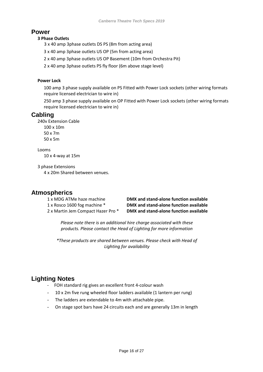#### <span id="page-15-0"></span>**Power**

#### **3 Phase Outlets**

3 x 40 amp 3phase outlets DS PS (8m from acting area)

3 x 40 amp 3phase outlets US OP (5m from acting area)

2 x 40 amp 3phase outlets US OP Basement (10m from Orchestra Pit)

2 x 40 amp 3phase outlets PS fly floor (6m above stage level)

#### **Power Lock**

100 amp 3 phase supply available on PS Fitted with Power Lock sockets (other wiring formats require licensed electrician to wire in)

250 amp 3 phase supply available on OP Fitted with Power Lock sockets (other wiring formats require licensed electrician to wire in)

## <span id="page-15-1"></span>**Cabling**

240v Extension Cable

100 x 10m 50 x 7m 50 x 5m

Looms 10 x 4-way at 15m

3 phase Extensions

4 x 20m Shared between venues.

## <span id="page-15-2"></span>**Atmospherics**

1 x MDG ATMe haze machine **DMX and stand-alone function available** 1 x Rosco 1600 fog machine \* **DMX and stand-alone function available** 2 x Martin Jem Compact Hazer Pro \* **DMX and stand-alone function available**

*Please note there is an additional hire charge associated with these products. Please contact the Head of Lighting for more information*

*\*These products are shared between venues. Please check with Head of Lighting for availability*

## <span id="page-15-3"></span>**Lighting Notes**

- FOH standard rig gives an excellent front 4-colour wash
- 10 x 2m five rung wheeled floor ladders available (1 lantern per rung)
- The ladders are extendable to 4m with attachable pipe.
- On stage spot bars have 24 circuits each and are generally 13m in length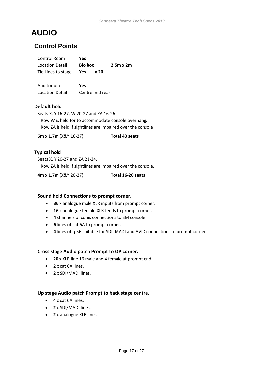## <span id="page-16-0"></span>**AUDIO**

## <span id="page-16-1"></span>**Control Points**

| Control Room           | Yes     |      |                  |
|------------------------|---------|------|------------------|
| Location Detail        | Bio box |      | $2.5m \times 2m$ |
| Tie Lines to stage Yes |         | x 20 |                  |
|                        |         |      |                  |

| Auditorium             | Yes             |
|------------------------|-----------------|
| <b>Location Detail</b> | Centre mid rear |

#### **Default hold**

Seats X, Y 16-27, W 20-27 and ZA 16-26. Row W is held for to accommodate console overhang. Row ZA is held if sightlines are impaired over the console

**6m x 1.7m** (X&Y 16-27). **Total 43 seats**

#### **Typical hold**

Seats X, Y 20-27 and ZA 21-24. Row ZA is held if sightlines are impaired over the console.

**4m x 1.7m** (X&Y 20-27). **Total 16-20 seats**

#### **Sound hold Connections to prompt corner.**

- **36** x analogue male XLR inputs from prompt corner.
- **16** x analogue female XLR feeds to prompt corner.
- **4** channels of coms connections to SM console.
- **6** lines of cat 6A to prompt corner.
- **4** lines of rg56 suitable for SDI, MADI and AVID connections to prompt corner.

#### **Cross stage Audio patch Prompt to OP corner.**

- **20** x XLR line 16 male and 4 female at prompt end.
- **2** x cat 6A lines.
- **2** x SDI/MADI lines.

#### **Up stage Audio patch Prompt to back stage centre.**

- **4** x cat 6A lines.
- **2** x SDI/MADI lines.
- **2** x analogue XLR lines.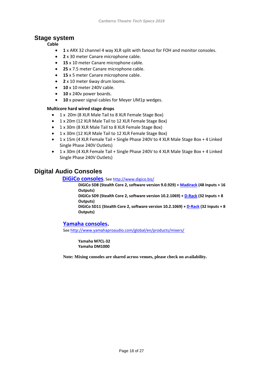#### <span id="page-17-0"></span>**Stage system**

**Cable**

- **1** x ARX 32 channel 4 way XLR split with fanout for FOH and monitor consoles.
- **2** x 30 meter Canare microphone cable.
- **15** x 10 meter Canare microphone cable.
- **25** x 7.5 meter Canare microphone cable.
- **15** x 5 meter Canare microphone cable.
- **2** x 10 meter 6way drum looms.
- **10** x 10 meter 240V cable.
- **10** x 240v power boards.
- **10** x power signal cables for Meyer UM1p wedges.

#### **Multicore hard wired stage drops**

- 1 x 20m (8 XLR Male Tail to 8 XLR Female Stage Box)
- 1 x 20m (12 XLR Male Tail to 12 XLR Female Stage Box)
- 1 x 30m (8 XLR Male Tail to 8 XLR Female Stage Box)
- 1 x 30m (12 XLR Male Tail to 12 XLR Female Stage Box)
- 1 x 15m (4 XLR Female Tail + Single Phase 240V to 4 XLR Male Stage Box + 4 Linked Single Phase 240V Outlets)
- 1 x 30m (4 XLR Female Tail + Single Phase 240V to 4 XLR Male Stage Box + 4 Linked Single Phase 240V Outlets)

## <span id="page-17-1"></span>**Digital Audio Consoles**

**[DiGiCo consoles](DiGiCo%20consoles).** See<http://www.digico.biz/>

**DiGiCo SD8 (Stealth Core 2, software version 9.0.929) [+ Madirack](http://www.digico.biz/docs/products/MaDiRack.shtml) (48 Inputs + 16 Outputs) DiGiCo SD9 (Stealth Core 2, software version 10.2.1069) + [D-Rack](http://www.digico.biz/docs/products/D-Rack.shtml) (32 Inputs + 8 Outputs)** 

**DiGiCo SD11 (Stealth Core 2, software version 10.2.1069) + [D-Rack](http://www.digico.biz/docs/products/D-Rack.shtml) (32 Inputs + 8 Outputs)**

#### **[Yamaha consoles.](http://www.yamahaproaudio.com/global/en/products/mixers/)**

Se[e http://www.yamahaproaudio.com/global/en/products/mixers/](http://www.yamahaproaudio.com/global/en/products/mixers/)

**Yamaha M7CL-32 Yamaha DM1000**

**Note: Mixing consoles are shared across venues, please check on availability.**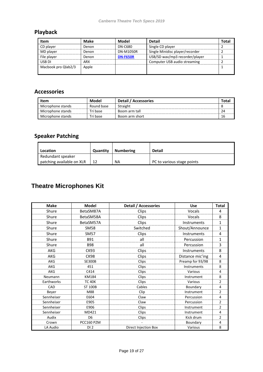## **Playback**

| Item                | Make  | Model           | <b>Detail</b>                   | <b>Total</b> |
|---------------------|-------|-----------------|---------------------------------|--------------|
| CD player           | Denon | DN-C680         | Single CD player                |              |
| MD player           | Denon | DN-M1050R       | Single Minidisc player/recorder |              |
| File player         | Denon | <b>DN-F650R</b> | USB/SD wav/mp3 recorder/player  |              |
| USB DI              | ARX   |                 | Computer USB audio streaming    |              |
| Macbook pro Qlab2/3 | Apple |                 |                                 |              |

## **Accessories**

| Item              | Model      | <b>Detail / Accessories</b> | Tota |
|-------------------|------------|-----------------------------|------|
| Microphone stands | Round base | Straight                    |      |
| Microphone stands | Tri base   | Boom arm tall               | 24   |
| Microphone stands | Tri base   | Boom arm short              | 16   |

## **Speaker Patching**

| Location                  | Quantity | <b>Numbering</b> | <b>Detail</b>              |
|---------------------------|----------|------------------|----------------------------|
| Redundant speaker         |          |                  |                            |
| patching available on XLR |          | NA               | PC to various stage points |

## <span id="page-18-0"></span>**Theatre Microphones Kit**

| <b>Make</b> | <b>Model</b>    | Detail / Accessories | <b>Use</b>       | <b>Total</b>   |
|-------------|-----------------|----------------------|------------------|----------------|
| Shure       | BetaSM87A       | Clips                | Vocals           | 4              |
| Shure       | BetaSM58A       | Clips                | Vocals           | 8              |
| Shure       | BetaSM57A       | Clips                | Instruments      | $\mathbf{1}$   |
| Shure       | <b>SM58</b>     | Switched             | Shout/Announce   | $\mathbf{1}$   |
| Shure       | <b>SM57</b>     | Clips                | Instruments      | 4              |
| Shure       | <b>B91</b>      | all                  | Percussion       | 1              |
| Shure       | <b>B98</b>      | all                  | Percussion       | 3              |
| AKG         | <b>CK93</b>     | Clips                | Instruments      | 8              |
| AKG         | <b>CK98</b>     | Clips                | Distance mic'ing | 4              |
| AKG         | <b>SE300B</b>   | Clips                | Preamp for 93/98 | 8              |
| AKG         | 451             | Clips                | Instruments      | 8              |
| AKG         | C414            | Clips                | Various          | 4              |
| Neumann     | KM184           | Clips                | Instrument       | 8              |
| Earthworks  | <b>TC 40K</b>   | Clips                | Various          | $\overline{2}$ |
| CAD         | <b>ST 100B</b>  | Cables               | Boundary         | 4              |
| Beyer       | M88             | Clip                 | Instrument       | $\overline{2}$ |
| Sennheiser  | E604            | Claw                 | Percussion       | 4              |
| Sennheiser  | E905            | Claw                 | Percussion       | $\overline{2}$ |
| Sennheiser  | E906            | Clips                | Instrument       | $\overline{2}$ |
| Sennheiser  | MD421           | Clips                | Instrument       | 4              |
| Audix       | D <sub>6</sub>  | Clips                | Kick drum        | $\overline{2}$ |
| Crown       | PCC160 PZM      |                      | Boundary         | 4              |
| LA Audio    | DI <sub>2</sub> | Direct Injection Box | Various          | 8              |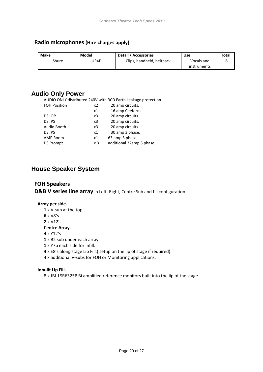#### **Radio microphones (Hire charges apply)**

| Make  | Model | <b>Detail / Accessories</b> | Use         | Total |
|-------|-------|-----------------------------|-------------|-------|
| Shure | UR4D  | Clips, handheld, beltpack   | Vocals and  |       |
|       |       |                             | instruments |       |

#### <span id="page-19-0"></span>**Audio Only Power**

AUDIO ONLY distributed 240V with RCD Earth Leakage protection

| <b>FOH Position</b> | x2             | 20 amp circuits.          |
|---------------------|----------------|---------------------------|
|                     | x1             | 16 amp Ceeform            |
| DS: OP              | x3             | 20 amp circuits.          |
| DS: PS              | x3             | 20 amp circuits.          |
| Audio Booth         | x3             | 20 amp circuits.          |
| DS: PS              | x1             | 30 amp 3 phase.           |
| <b>AMP Room</b>     | x1             | 63 amp 3 phase.           |
| <b>DS Prompt</b>    | x <sub>3</sub> | additional 32amp 3 phase. |
|                     |                |                           |

## <span id="page-19-1"></span>**House Speaker System**

#### **FOH Speakers**

**D&B V series line array** in Left, Right, Centre Sub and fill configuration.

#### **Array per side.**

**1** x V-sub at the top **6** x V8's **2** x V12's **Centre Array.** 4 x Y12's **1** x B2 sub under each array. **1** x Y7p each side for infill. **4** x E8's along stage Lip Fill.( setup on the lip of stage if required) 4 x additional V-subs for FOH or Monitoring applications.

#### **Inbuilt Lip Fill.**

8 x JBL LSR6325P Bi amplified reference monitors built into the lip of the stage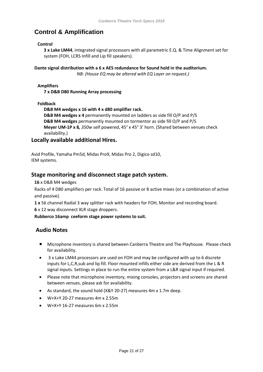## <span id="page-20-0"></span>**Control & Amplification**

#### **Control**

**3 x Lake LM44**, integrated signal processors with all parametric E.Q. & Time Alignment set for system (FOH, LCRS Infill and Lip fill speakers).

#### **Dante signal distribution with a 6 x AES redundance for Sound hold in the auditorium.**

*NB: (House EQ may be altered with EQ Layer on request.)*

**Amplifiers**

**7 x D&B D80 Running Array processing**

**Foldback**

**D&B M4 wedges x 16 with 4 x d80 amplifier rack.**

**D&B M4 wedges x 4** permanently mounted on ladders as side fill O/P and P/S **D&B M4 wedges** permanently mounted on tormentor as side fill O/P and P/S **Meyer UM-1P x 8***, 350w* self powered, 45° x 45° 3' horn. (Shared between venues check availability.)

#### **Locally available additional Hires.**

Avid Profile, Yamaha Pm5d, Midas Pro9, Midas Pro 2, Digico sd10, IEM systems.

#### **Stage monitoring and disconnect stage patch system.**

**16** x D&B M4 wedges

Racks of 4 D80 amplifiers per rack. Total of 16 passive or 8 active mixes (or a combination of active and passive).

**1 x** 56 channel Radial 3 way splitter rack with headers for FOH, Monitor and recording board.

**6** x 12 way disconnect XLR stage droppers.

**Rubberco 16amp ceeform stage power systems to suit.**

#### **Audio Notes**

- Microphone inventory is shared between Canberra Theatre and The Playhouse. Please check for availability.
- 3 x Lake LM44 processors are used on FOH and may be configured with up to 6 discrete inputs for L,C,R,sub and lip fill. Floor mounted infills either side are derived from the L & R signal inputs. Settings in place to run the entire system from a L&R signal input if required.
- Please note that microphone inventory, mixing consoles, projectors and screens are shared between venues, please ask for availability.
- As standard, the sound hold (X&Y 20-27) measures 4m x 1.7m deep.
- $\bullet$  W+X+Y 20-27 measures 4m x 2.55m
- W+X+Y 16-27 measures 6m x 2.55m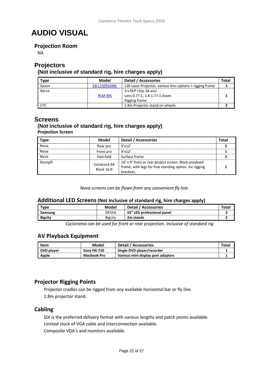## <span id="page-21-0"></span>**AUDIO VISUAL**

#### **Projection Room**

NA

### <span id="page-21-1"></span>**Projectors**

#### **(Not inclusive of standard rig, hire charges apply)**

| <b>Type</b> | Model               | <b>Detail / Accessories</b>                               | Total |
|-------------|---------------------|-----------------------------------------------------------|-------|
| Epson       | <b>EB-L1505UHNL</b> | 12k Laser Projector, various lens options + rigging frame |       |
| Barco       |                     | 3 x DLP chip, 6k ansi                                     |       |
|             | <b>RLM W6</b>       | Lens 0.77:1, 1.4-1.77:1 Zoom                              |       |
|             |                     | Rigging frame                                             |       |
| <b>CTC</b>  |                     | 1.8m Projector stand on wheels                            |       |

#### <span id="page-21-2"></span>**Screens**

#### **(Not inclusive of standard rig, hire charges apply) Projection Screen**

| <b>Type</b> | Model                      | Detail / Accessories                                                                                                         | Total |
|-------------|----------------------------|------------------------------------------------------------------------------------------------------------------------------|-------|
| Nova        | Rear pro                   | 9'x12'                                                                                                                       |       |
| Nova        | Front pro                  | $9'$ x 12'                                                                                                                   |       |
| Nova        | Fast-fold                  | Surface frame                                                                                                                |       |
| Stumpfl     | VarioLock 64<br>Black 16:9 | 16' x 9' front or rear project screen. Black anodised<br>frame, with legs for free standing option. Inc rigging<br>brackets. |       |

*Nova screens can be flown from any convenient fly line.*

#### **Additional LED Screens(Not inclusive of standard rig, hire charges apply)**

| <b>Type</b>    | Model   | Detail / Accessories       | Tota. |
|----------------|---------|----------------------------|-------|
| Samsung        | DE55A   | 55" LED professional panel |       |
| <b>Bigcity</b> | Bigcity | 2m stands                  |       |

*Cyclorama can be used for front or rear projection. Inclusive of standard rig*

#### **AV Playback Equipment**

| Item       | Model       | Detail / Accessories               | Total |
|------------|-------------|------------------------------------|-------|
| DVD player | Sony HX-710 | Single DVD player/recorder         |       |
| Apple      | Macbook Pro | Various mini display port adapters |       |

#### **Projector Rigging Points**

Projector cradles can be rigged from any available horizontal bar or fly line. 1.8m projector stand.

#### **Cabling**

SDI is the preferred delivery format with various lengths and patch points available. Limited stock of VGA cable and interconnection available. Composite VDA's and monitors available.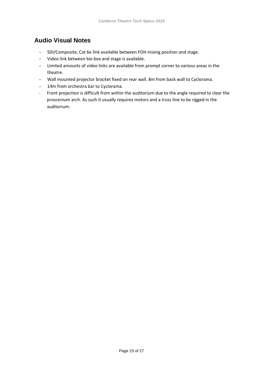## <span id="page-22-0"></span>**Audio Visual Notes**

- **-** SDI/Composite, Cat 6e link available between FOH mixing position and stage.
- **-** Video link between bio box and stage is available.
- **-** Limited amounts of video links are available from prompt corner to various areas in the theatre.
- **-** Wall mounted projector bracket fixed on rear wall. 8m from back wall to Cyclorama.
- **-** 14m from orchestra bar to Cyclorama.
- **-** Front projection is difficult from within the auditorium due to the angle required to clear the proscenium arch. As such it usually requires motors and a truss line to be rigged in the auditorium.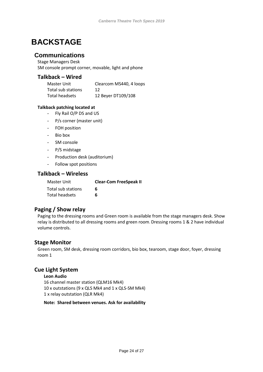## <span id="page-23-0"></span>**BACKSTAGE**

### <span id="page-23-1"></span>**Communications**

Stage Managers Desk SM console prompt corner, movable, light and phone

#### **Talkback – Wired**

| Master Unit        | Clearcom MS440, 4 loops |
|--------------------|-------------------------|
| Total sub stations | 12                      |
| Total headsets     | 12 Beyer DT109/108      |

#### **Talkback patching located at**

- Fly Rail O/P DS and US
- P/s corner (master unit)
- FOH position
- Bio box
- SM console
- P/S midstage
- Production desk (auditorium)
- Follow spot positions

#### **Talkback – Wireless**

| <b>Clear-Com FreeSpeak II</b> |
|-------------------------------|
| 6                             |
| 6                             |
|                               |

#### **Paging / Show relay**

Paging to the dressing rooms and Green room is available from the stage managers desk. Show relay is distributed to all dressing rooms and green room. Dressing rooms 1 & 2 have individual volume controls.

#### **Stage Monitor**

Green room, SM desk, dressing room corridors, bio box, tearoom, stage door, foyer, dressing room 1

#### **Cue Light System**

**Leon Audio** 16 channel master station (QLM16 Mk4) 10 x outstations (9 x QLS Mk4 and 1 x QLS-SM Mk4) 1 x relay outstation (QLR Mk4)

**Note: Shared between venues. Ask for availability**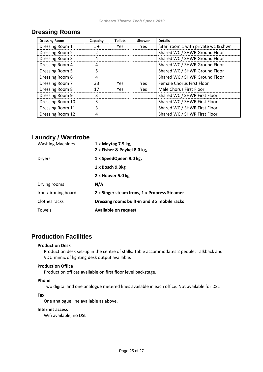## <span id="page-24-0"></span>**Dressing Rooms**

| <b>Dressing Room</b> | Capacity | <b>Toilets</b> | <b>Shower</b> | <b>Details</b>                       |
|----------------------|----------|----------------|---------------|--------------------------------------|
| Dressing Room 1      | $1 +$    | <b>Yes</b>     | Yes           | 'Star' room 1 with private wc & shwr |
| Dressing Room 2      | 2        |                |               | Shared WC / SHWR Ground Floor        |
| Dressing Room 3      | 4        |                |               | Shared WC / SHWR Ground Floor        |
| Dressing Room 4      | 4        |                |               | Shared WC / SHWR Ground Floor        |
| Dressing Room 5      | 5.       |                |               | Shared WC / SHWR Ground Floor        |
| Dressing Room 6      | 4        |                |               | Shared WC / SHWR Ground Floor        |
| Dressing Room 7      | 33       | Yes            | <b>Yes</b>    | <b>Female Chorus First Floor</b>     |
| Dressing Room 8      | 17       | Yes            | <b>Yes</b>    | Male Chorus First Floor              |
| Dressing Room 9      | 3        |                |               | Shared WC / SHWR First Floor         |
| Dressing Room 10     | 3        |                |               | Shared WC / SHWR First Floor         |
| Dressing Room 11     | 3        |                |               | Shared WC / SHWR First Floor         |
| Dressing Room 12     |          |                |               | Shared WC / SHWR First Floor         |

## <span id="page-24-1"></span>**Laundry / Wardrobe**

| <b>Washing Machines</b> | 1 x Maytag 7.5 kg,<br>2 x Fisher & Paykel 8.0 kg, |
|-------------------------|---------------------------------------------------|
| <b>Dryers</b>           | 1 x SpeedQueen 9.0 kg,                            |
|                         | 1 x Bosch 9.0kg                                   |
|                         | 2 x Hoover 5.0 kg                                 |
| Drying rooms            | N/A                                               |
| Iron / ironing board    | 2 x Singer steam Irons, 1 x Propress Steamer      |
| Clothes racks           | Dressing rooms built-in and 3 x mobile racks      |
| Towels                  | <b>Available on request</b>                       |

## <span id="page-24-2"></span>**Production Facilities**

#### **Production Desk**

Production desk set-up in the centre of stalls. Table accommodates 2 people. Talkback and VDU mimic of lighting desk output available.

#### **Production Office**

Production offices available on first floor level backstage.

#### **Phone**

Two digital and one analogue metered lines available in each office. Not available for DSL

#### **Fax**

One analogue line available as above.

#### **Internet access**

Wifi available, no DSL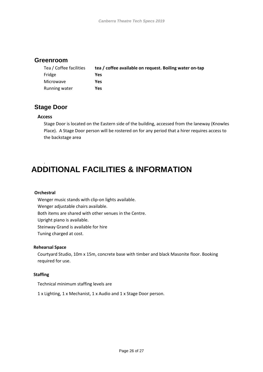## <span id="page-25-0"></span>**Greenroom**

| Tea / Coffee facilities | tea / coffee available on request. Boiling water on-tap |
|-------------------------|---------------------------------------------------------|
| Fridge                  | Yes                                                     |
| Microwave               | Yes                                                     |
| Running water           | Yes                                                     |

## <span id="page-25-1"></span>**Stage Door**

#### **Access**

Stage Door is located on the Eastern side of the building, accessed from the laneway (Knowles Place). A Stage Door person will be rostered on for any period that a hirer requires access to the backstage area

## <span id="page-25-2"></span>. **ADDITIONAL FACILITIES & INFORMATION**

#### **Orchestral**

Wenger music stands with clip-on lights available.

Wenger adjustable chairs available.

Both items are shared with other venues in the Centre.

Upright piano is available.

Steinway Grand is available for hire

Tuning charged at cost.

#### **Rehearsal Space**

Courtyard Studio, 10m x 15m, concrete base with timber and black Masonite floor. Booking required for use.

#### **Staffing**

Technical minimum staffing levels are

1 x Lighting, 1 x Mechanist, 1 x Audio and 1 x Stage Door person.